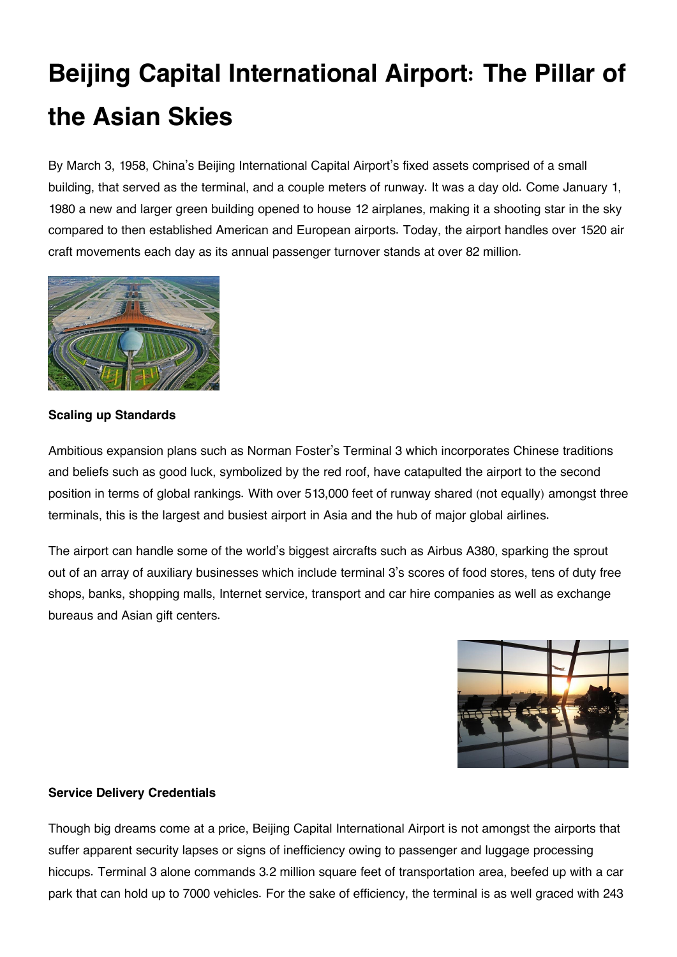## **Beijing Capital International Airport: The Pillar of the Asian Skies**

By March 3, 1958, China's Beijing International Capital Airport's fixed assets comprised of a small building, that served as the terminal, and a couple meters of runway. It was a day old. Come January 1, 1980 a new and larger green building opened to house 12 airplanes, making it a shooting star in the sky compared to then established American and European airports. Today, the airport handles over 1520 air craft movements each day as its annual passenger turnover stands at over 82 million.



**Scaling up Standards**

Ambitious expansion plans such as Norman Foster's Terminal 3 which incorporates Chinese traditions and beliefs such as good luck, symbolized by the red roof, have catapulted the airport to the second position in terms of global rankings. With over 513,000 feet of runway shared (not equally) amongst three terminals, this is the largest and busiest airport in Asia and the hub of major global airlines.

The airport can handle some of the world's biggest aircrafts such as Airbus A380, sparking the sprout out of an array of auxiliary businesses which include terminal 3's scores of food stores, tens of duty free shops, banks, shopping malls, Internet service, transport and car hire companies as well as exchange bureaus and Asian gift centers.



## **Service Delivery Credentials**

Though big dreams come at a price, Beijing Capital International Airport is not amongst the airports that suffer apparent security lapses or signs of inefficiency owing to passenger and luggage processing hiccups. Terminal 3 alone commands 3.2 million square feet of transportation area, beefed up with a car park that can hold up to 7000 vehicles. For the sake of efficiency, the terminal is as well graced with 243